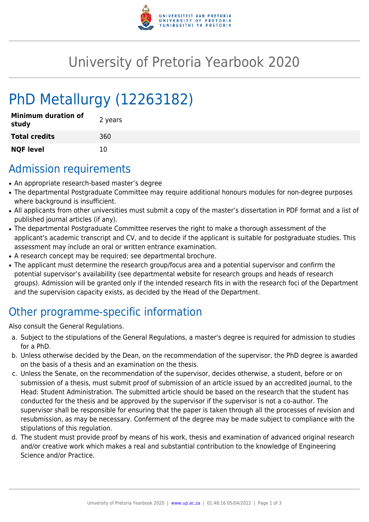

## University of Pretoria Yearbook 2020

# PhD Metallurgy (12263182)

| <b>Minimum duration of</b><br>study | 2 years |
|-------------------------------------|---------|
| <b>Total credits</b>                | 360     |
| <b>NQF level</b>                    | 10      |

## Admission requirements

- An appropriate research-based master's degree
- The departmental Postgraduate Committee may require additional honours modules for non-degree purposes where background is insufficient.
- All applicants from other universities must submit a copy of the master's dissertation in PDF format and a list of published journal articles (if any).
- The departmental Postgraduate Committee reserves the right to make a thorough assessment of the applicant's academic transcript and CV, and to decide if the applicant is suitable for postgraduate studies. This assessment may include an oral or written entrance examination.
- A research concept may be required; see departmental brochure.
- The applicant must determine the research group/focus area and a potential supervisor and confirm the potential supervisor's availability (see departmental website for research groups and heads of research groups). Admission will be granted only if the intended research fits in with the research foci of the Department and the supervision capacity exists, as decided by the Head of the Department.

## Other programme-specific information

Also consult the General Regulations.

- a. Subject to the stipulations of the General Regulations, a master's degree is required for admission to studies for a PhD.
- b. Unless otherwise decided by the Dean, on the recommendation of the supervisor, the PhD degree is awarded on the basis of a thesis and an examination on the thesis.
- c. Unless the Senate, on the recommendation of the supervisor, decides otherwise, a student, before or on submission of a thesis, must submit proof of submission of an article issued by an accredited journal, to the Head: Student Administration. The submitted article should be based on the research that the student has conducted for the thesis and be approved by the supervisor if the supervisor is not a co-author. The supervisor shall be responsible for ensuring that the paper is taken through all the processes of revision and resubmission, as may be necessary. Conferment of the degree may be made subject to compliance with the stipulations of this regulation.
- d. The student must provide proof by means of his work, thesis and examination of advanced original research and/or creative work which makes a real and substantial contribution to the knowledge of Engineering Science and/or Practice.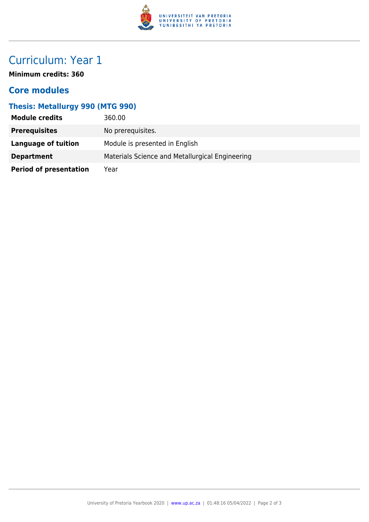

## Curriculum: Year 1

**Minimum credits: 360**

#### **Core modules**

#### **Thesis: Metallurgy 990 (MTG 990)**

| <b>Module credits</b>         | 360.00                                          |
|-------------------------------|-------------------------------------------------|
| <b>Prerequisites</b>          | No prerequisites.                               |
| <b>Language of tuition</b>    | Module is presented in English                  |
| <b>Department</b>             | Materials Science and Metallurgical Engineering |
| <b>Period of presentation</b> | Year                                            |